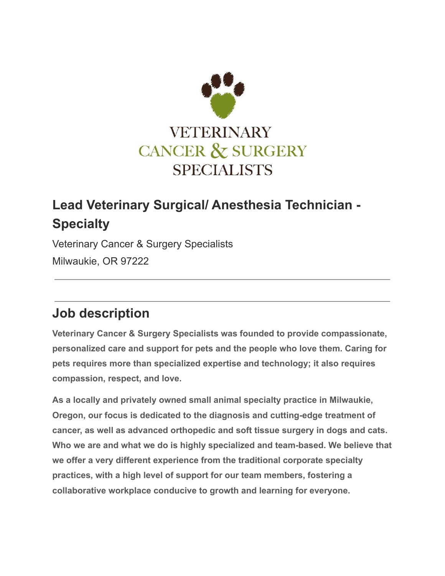

# **Lead Veterinary Surgical/ Anesthesia Technician - Specialty**

Veterinary Cancer & Surgery Specialists Milwaukie, OR 97222

## **Job description**

**Veterinary Cancer & Surgery Specialists was founded to provide compassionate, personalized care and support for pets and the people who love them. Caring for pets requires more than specialized expertise and technology; it also requires compassion, respect, and love.**

**As a locally and privately owned small animal specialty practice in Milwaukie, Oregon, our focus is dedicated to the diagnosis and cutting-edge treatment of cancer, as well as advanced orthopedic and soft tissue surgery in dogs and cats. Who we are and what we do is highly specialized and team-based. We believe that we offer a very different experience from the traditional corporate specialty practices, with a high level of support for our team members, fostering a collaborative workplace conducive to growth and learning for everyone.**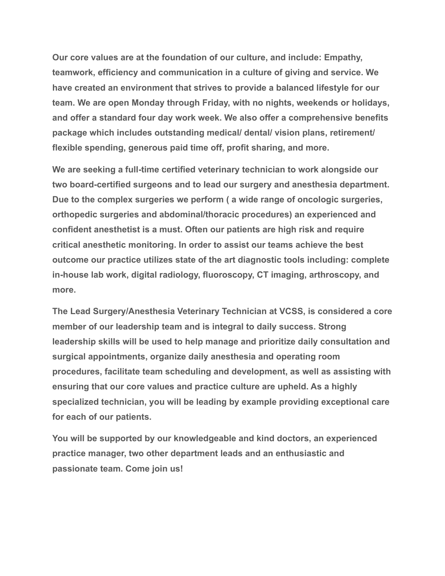**Our core values are at the foundation of our culture, and include: Empathy, teamwork, efficiency and communication in a culture of giving and service. We have created an environment that strives to provide a balanced lifestyle for our team. We are open Monday through Friday, with no nights, weekends or holidays, and offer a standard four day work week. We also offer a comprehensive benefits package which includes outstanding medical/ dental/ vision plans, retirement/ flexible spending, generous paid time off, profit sharing, and more.**

**We are seeking a full-time certified veterinary technician to work alongside our two board-certified surgeons and to lead our surgery and anesthesia department. Due to the complex surgeries we perform ( a wide range of oncologic surgeries, orthopedic surgeries and abdominal/thoracic procedures) an experienced and confident anesthetist is a must. Often our patients are high risk and require critical anesthetic monitoring. In order to assist our teams achieve the best outcome our practice utilizes state of the art diagnostic tools including: complete in-house lab work, digital radiology, fluoroscopy, CT imaging, arthroscopy, and more.**

**The Lead Surgery/Anesthesia Veterinary Technician at VCSS, is considered a core member of our leadership team and is integral to daily success. Strong leadership skills will be used to help manage and prioritize daily consultation and surgical appointments, organize daily anesthesia and operating room procedures, facilitate team scheduling and development, as well as assisting with ensuring that our core values and practice culture are upheld. As a highly specialized technician, you will be leading by example providing exceptional care for each of our patients.**

**You will be supported by our knowledgeable and kind doctors, an experienced practice manager, two other department leads and an enthusiastic and passionate team. Come join us!**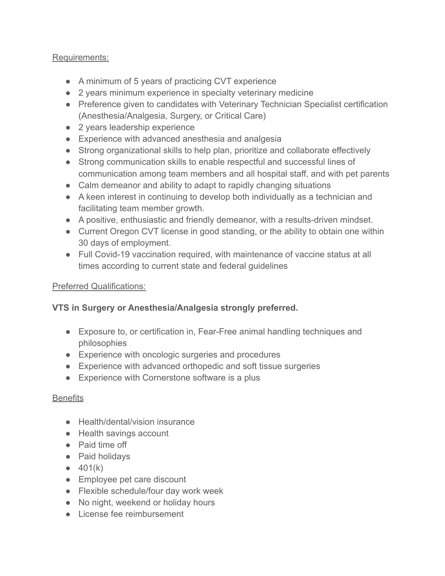#### Requirements:

- A minimum of 5 years of practicing CVT experience
- 2 years minimum experience in specialty veterinary medicine
- Preference given to candidates with Veterinary Technician Specialist certification (Anesthesia/Analgesia, Surgery, or Critical Care)
- 2 years leadership experience
- Experience with advanced anesthesia and analgesia
- Strong organizational skills to help plan, prioritize and collaborate effectively
- Strong communication skills to enable respectful and successful lines of communication among team members and all hospital staff, and with pet parents
- Calm demeanor and ability to adapt to rapidly changing situations
- A keen interest in continuing to develop both individually as a technician and facilitating team member growth.
- A positive, enthusiastic and friendly demeanor, with a results-driven mindset.
- Current Oregon CVT license in good standing, or the ability to obtain one within 30 days of employment.
- Full Covid-19 vaccination required, with maintenance of vaccine status at all times according to current state and federal guidelines

#### Preferred Qualifications:

### **VTS in Surgery or Anesthesia/Analgesia strongly preferred.**

- Exposure to, or certification in, Fear-Free animal handling techniques and philosophies
- Experience with oncologic surgeries and procedures
- Experience with advanced orthopedic and soft tissue surgeries
- Experience with Cornerstone software is a plus

#### **Benefits**

- Health/dental/vision insurance
- Health savings account
- Paid time off
- Paid holidays
- $401(k)$
- Employee pet care discount
- Flexible schedule/four day work week
- No night, weekend or holiday hours
- License fee reimbursement